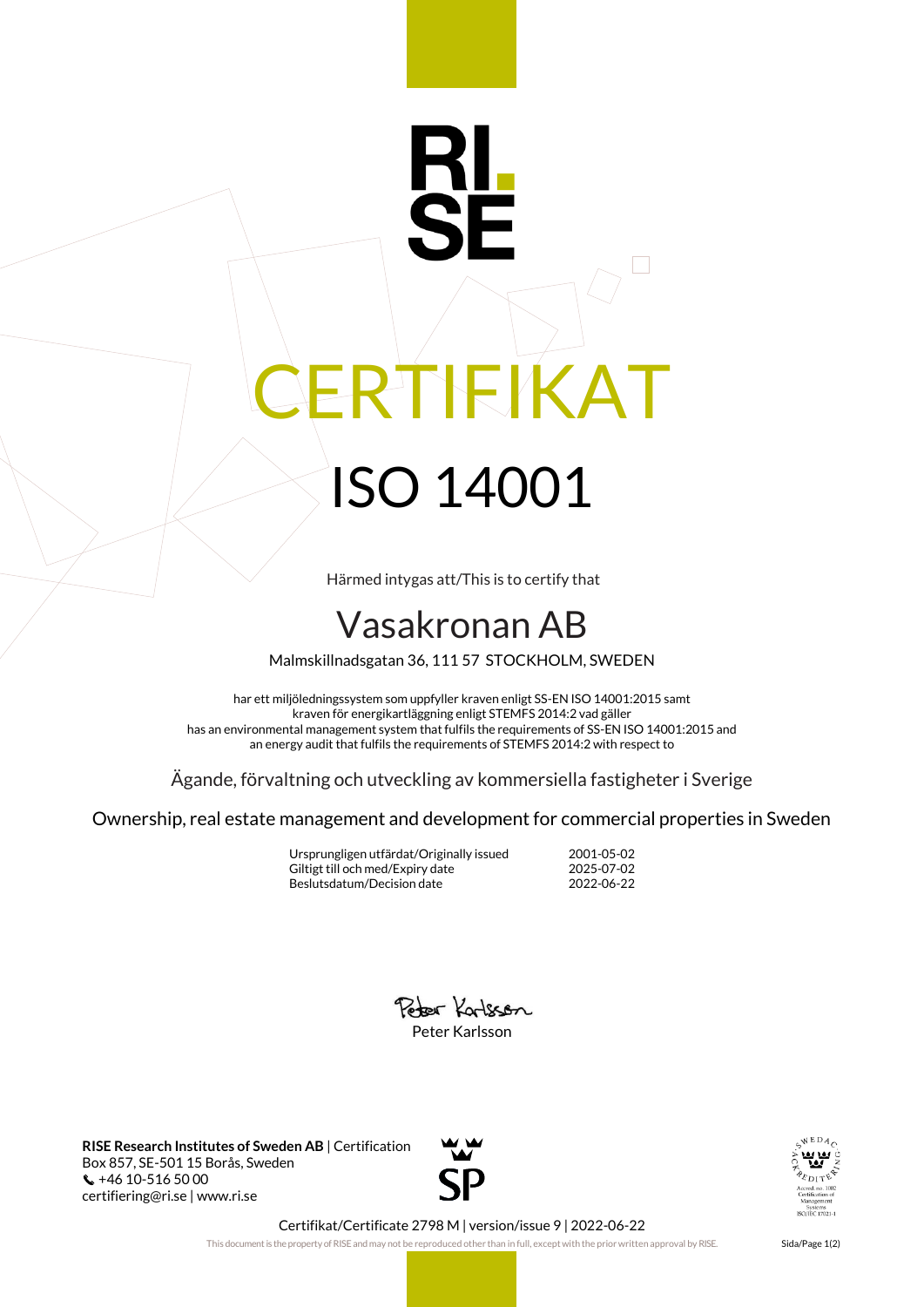## RTIFIKAT ISO 14001

Härmed intygas att/This is to certify that

## Vasakronan AB

Malmskillnadsgatan 36, 111 57 STOCKHOLM, SWEDEN

har ett miljöledningssystem som uppfyller kraven enligt SS-EN ISO 14001:2015 samt kraven för energikartläggning enligt STEMFS 2014:2 vad gäller has an environmental management system that fulfils the requirements of SS-EN ISO 14001:2015 and an energy audit that fulfils the requirements of STEMFS 2014:2 with respect to

Ägande, förvaltning och utveckling av kommersiella fastigheter i Sverige

Ownership, real estate management and development for commercial properties in Sweden

Ursprungligen utfärdat/Originally issued 2001-05-02 Giltigt till och med/Expiry date 2025-07-02<br>Beslutsdatum/Decision date 2022-06-22 Beslutsdatum/Decision date



**RISE Research Institutes of Sweden AB** | Certification Box 857, SE-501 15 Borås, Sweden +46 10-516 50 00 certifiering@ri.se | www.ri.se





Certifikat/Certificate 2798 M | version/issue 9 | 2022-06-22

This document is the property of RISE and may not be reproduced other than in full, except with the prior written approval by RISE. Sida/Page 1(2)